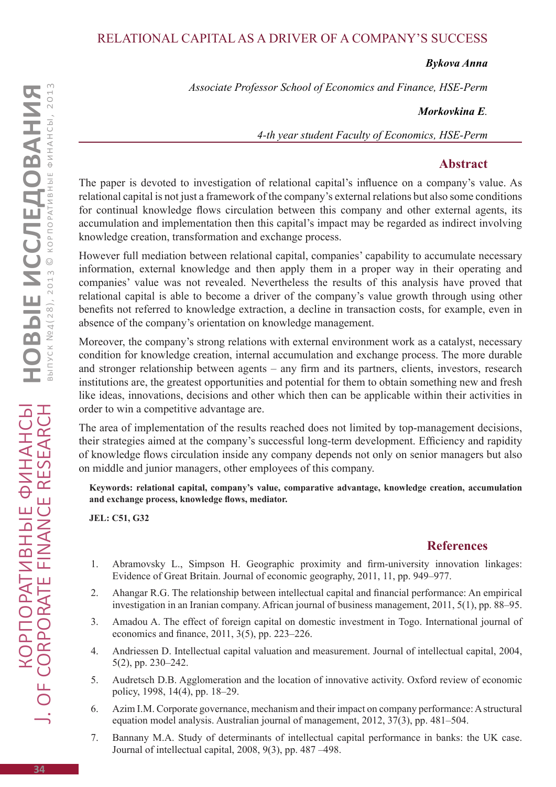## Relational Capital as a Driver of a Company's Success

*Bykova Anna*

*Associate Professor School of Economics and Finance, HSE-Perm*

*Morkovkina E.* 

*4-th year student Faculty of Economics, HSE-Perm*

## **Abstract**

The paper is devoted to investigation of relational capital's influence on a company's value. As relational capital is not just a framework of the company's external relations but also some conditions for continual knowledge flows circulation between this company and other external agents, its accumulation and implementation then this capital's impact may be regarded as indirect involving knowledge creation, transformation and exchange process.

However full mediation between relational capital, companies' capability to accumulate necessary information, external knowledge and then apply them in a proper way in their operating and companies' value was not revealed. Nevertheless the results of this analysis have proved that relational capital is able to become a driver of the company's value growth through using other benefits not referred to knowledge extraction, a decline in transaction costs, for example, even in absence of the company's orientation on knowledge management.

Moreover, the company's strong relations with external environment work as a catalyst, necessary condition for knowledge creation, internal accumulation and exchange process. The more durable and stronger relationship between agents – any firm and its partners, clients, investors, research institutions are, the greatest opportunities and potential for them to obtain something new and fresh like ideas, innovations, decisions and other which then can be applicable within their activities in order to win a competitive advantage are.

The area of implementation of the results reached does not limited by top-management decisions, their strategies aimed at the company's successful long-term development. Efficiency and rapidity of knowledge flows circulation inside any company depends not only on senior managers but also on middle and junior managers, other employees of this company.

**Keywords: relational capital, company's value, comparative advantage, knowledge creation, accumulation and exchange process, knowledge flows, mediator.**

**JEL: C51, G32**

## **References**

- 1. Abramovsky L., Simpson H. Geographic proximity and firm-university innovation linkages: Evidence of Great Britain. Journal of economic geography, 2011, 11, pp. 949–977.
- 2. Ahangar R.G. The relationship between intellectual capital and financial performance: An empirical investigation in an Iranian company. African journal of business management, 2011, 5(1), pp. 88–95.
- 3. Amadou A. The effect of foreign capital on domestic investment in Togo. International journal of economics and finance, 2011, 3(5), pp. 223–226.
- 4. Andriessen D. Intellectual capital valuation and measurement. Journal of intellectual capital, 2004, 5(2), pp. 230–242.
- 5. Audretsch D.B. Agglomeration and the location of innovative activity. Oxford review of economic policy, 1998, 14(4), pp. 18–29.
- 6. Azim I.M. Corporate governance, mechanism and their impact on company performance: A structural equation model analysis. Australian journal of management, 2012, 37(3), pp. 481–504.
- 7. Bannany M.A. Study of determinants of intellectual capital performance in banks: the UK case. Journal of intellectual capital, 2008, 9(3), pp. 487 –498.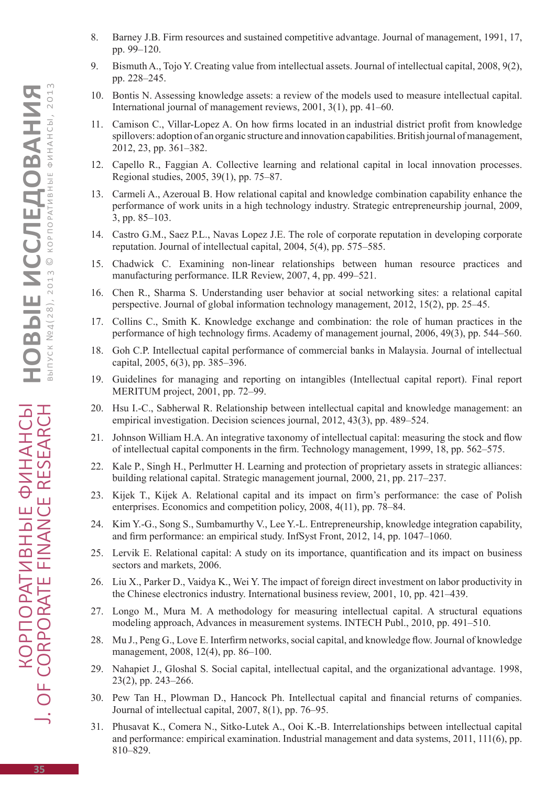- 8. Barney J.B. Firm resources and sustained competitive advantage. Journal of management, 1991, 17, pp. 99–120.
- 9. Bismuth A., Tojo Y. Creating value from intellectual assets. Journal of intellectual capital, 2008, 9(2), pp. 228–245.
- 10. Bontis N. Assessing knowledge assets: a review of the models used to measure intellectual capital. International journal of management reviews, 2001, 3(1), pp. 41–60.
- 11. Camison C., Villar-Lopez A. On how firms located in an industrial district profit from knowledge spillovers: adoption of an organic structure and innovation capabilities. British journal of management, 2012, 23, pp. 361–382.
- 12. Capello R., Faggian A. Collective learning and relational capital in local innovation processes. Regional studies, 2005, 39(1), pp. 75–87.
- 13. Carmeli A., Azeroual B. How relational capital and knowledge combination capability enhance the performance of work units in a high technology industry. Strategic entrepreneurship journal, 2009, 3, pp. 85–103.
- 14. Castro G.M., Saez P.L., Navas Lopez J.E. The role of corporate reputation in developing corporate reputation. Journal of intellectual capital, 2004, 5(4), pp. 575–585.
- 15. Chadwick C. Examining non-linear relationships between human resource practices and manufacturing performance. ILR Review, 2007, 4, pp. 499–521.
- 16. Chen R., Sharma S. Understanding user behavior at social networking sites: a relational capital perspective. Journal of global information technology management, 2012, 15(2), pp. 25–45.
- 17. Collins C., Smith K. Knowledge exchange and combination: the role of human practices in the performance of high technology firms. Academy of management journal, 2006, 49(3), pp. 544–560.
- 18. Goh C.P. Intellectual capital performance of commercial banks in Malaysia. Journal of intellectual capital, 2005, 6(3), pp. 385–396.
- 19. Guidelines for managing and reporting on intangibles (Intellectual capital report). Final report MERITUM project, 2001, pp. 72–99.
- 20. Hsu I.-C., Sabherwal R. Relationship between intellectual capital and knowledge management: an empirical investigation. Decision sciences journal, 2012, 43(3), pp. 489–524.
- 21. Johnson William H.A. An integrative taxonomy of intellectual capital: measuring the stock and flow of intellectual capital components in the firm. Technology management, 1999, 18, pp. 562–575.
- 22. Kale P., Singh H., Perlmutter H. Learning and protection of proprietary assets in strategic alliances: building relational capital. Strategic management journal, 2000, 21, pp. 217–237.
- 23. Kijek T., Kijek A. Relational capital and its impact on firm's performance: the case of Polish enterprises. Economics and competition policy, 2008, 4(11), pp. 78–84.
- 24. Kim Y.-G., Song S., Sumbamurthy V., Lee Y.-L. Entrepreneurship, knowledge integration capability, and firm performance: an empirical study. InfSyst Front, 2012, 14, pp. 1047–1060.
- 25. Lervik E. Relational capital: A study on its importance, quantification and its impact on business sectors and markets, 2006.
- 26. Liu X., Parker D., Vaidya K., Wei Y. The impact of foreign direct investment on labor productivity in the Chinese electronics industry. International business review, 2001, 10, pp. 421–439.
- 27. Longo M., Mura M. A methodology for measuring intellectual capital. A structural equations modeling approach, Advances in measurement systems. INTECH Publ., 2010, pp. 491–510.
- 28. Mu J., Peng G., Love E. Interfirm networks, social capital, and knowledge flow. Journal of knowledge management, 2008, 12(4), pp. 86–100.
- 29. Nahapiet J., Gloshal S. Social capital, intellectual capital, and the organizational advantage. 1998, 23(2), pp. 243–266.
- 30. Pew Tan H., Plowman D., Hancock Ph. Intellectual capital and financial returns of companies. Journal of intellectual capital, 2007, 8(1), pp. 76–95.
- 31. Phusavat K., Comera N., Sitko-Lutek A., Ooi K.-B. Interrelationships between intellectual capital and performance: empirical examination. Industrial management and data systems, 2011, 111(6), pp. 810–829.